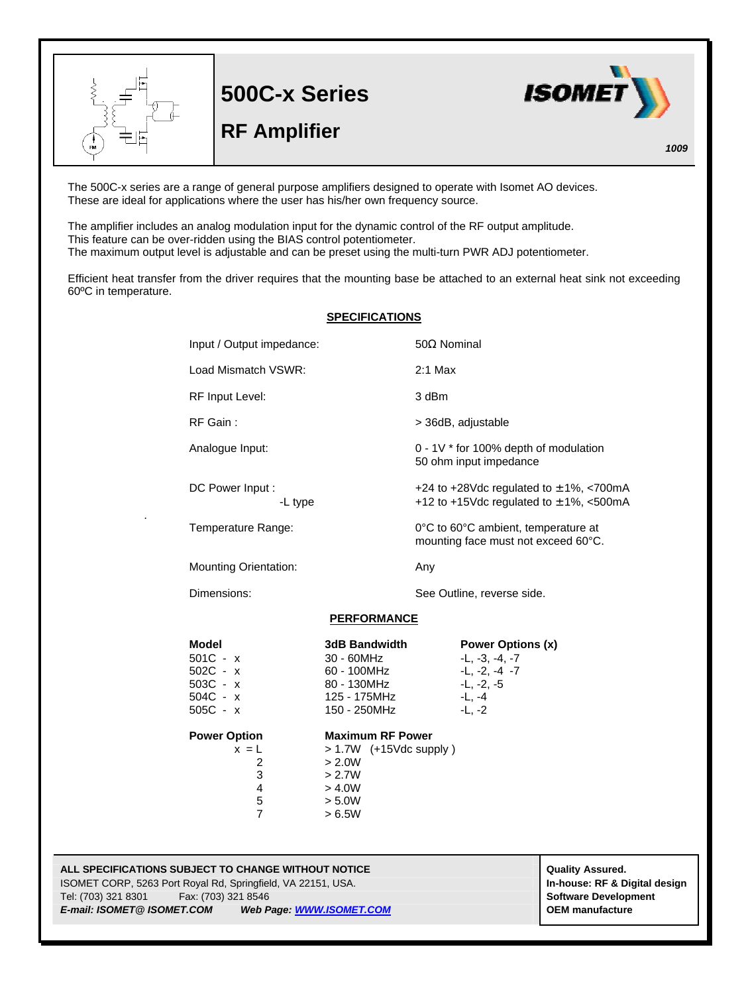

**500C-x Series**

## **RF Amplifier**



*1009*

The 500C-x series are a range of general purpose amplifiers designed to operate with Isomet AO devices. These are ideal for applications where the user has his/her own frequency source.

The amplifier includes an analog modulation input for the dynamic control of the RF output amplitude. This feature can be over-ridden using the BIAS control potentiometer. The maximum output level is adjustable and can be preset using the multi-turn PWR ADJ potentiometer.

Efficient heat transfer from the driver requires that the mounting base be attached to an external heat sink not exceeding 60ºC in temperature.

| <b>SPECIFICATIONS</b> |                                                                                   |                                                                                                       |                                                                                            |                                                                                                         |
|-----------------------|-----------------------------------------------------------------------------------|-------------------------------------------------------------------------------------------------------|--------------------------------------------------------------------------------------------|---------------------------------------------------------------------------------------------------------|
|                       | Input / Output impedance:                                                         |                                                                                                       | $50\Omega$ Nominal                                                                         |                                                                                                         |
|                       | Load Mismatch VSWR:                                                               |                                                                                                       | $2:1$ Max                                                                                  |                                                                                                         |
|                       | RF Input Level:                                                                   |                                                                                                       | 3 dBm                                                                                      |                                                                                                         |
|                       | RF Gain:                                                                          |                                                                                                       |                                                                                            | > 36dB, adjustable                                                                                      |
|                       | Analogue Input:                                                                   |                                                                                                       | 0 - 1V * for 100% depth of modulation<br>50 ohm input impedance                            |                                                                                                         |
|                       | DC Power Input :<br>-L type                                                       |                                                                                                       | +24 to +28Vdc regulated to $\pm$ 1%, <700mA<br>+12 to +15Vdc regulated to $\pm$ 1%, <500mA |                                                                                                         |
|                       | Temperature Range:                                                                |                                                                                                       |                                                                                            | 0°C to 60°C ambient, temperature at<br>mounting face must not exceed 60°C.                              |
|                       | <b>Mounting Orientation:</b>                                                      |                                                                                                       | Any                                                                                        |                                                                                                         |
|                       | Dimensions:                                                                       |                                                                                                       |                                                                                            | See Outline, reverse side.                                                                              |
| <b>PERFORMANCE</b>    |                                                                                   |                                                                                                       |                                                                                            |                                                                                                         |
|                       | <b>Model</b><br>$501C - x$<br>$502C - x$<br>$503C - x$<br>504C - x<br>$505C - x$  | 3dB Bandwidth<br>30 - 60MHz<br>60 - 100MHz<br>80 - 130MHz<br>125 - 175MHz<br>150 - 250MHz             |                                                                                            | <b>Power Options (x)</b><br>$-L, -3, -4, -7$<br>$-L, -2, -4$ -7<br>$-L, -2, -5$<br>$-L, -4$<br>$-L, -2$ |
|                       | <b>Power Option</b><br>$x = L$<br>$\overline{2}$<br>3<br>4<br>5<br>$\overline{7}$ | <b>Maximum RF Power</b><br>$> 1.7W$ (+15Vdc supply)<br>> 2.0W<br>> 2.7W<br>> 4.0W<br>> 5.0W<br>> 6.5W |                                                                                            |                                                                                                         |

**ALL SPECIFICATIONS SUBJECT TO CHANGE WITHOUT NOTICE And CONTACT ASSURANT CONTRACT ASSURED.** ISOMET CORP, 5263 Port Royal Rd, Springfield, VA 22151, USA. **In-house: RF & Digital design** Tel: (703) 321 8301 Fax: (703) 321 8546 **Software Development** *E-mail: ISOMET@ ISOMET.COM Web Page: WWW.ISOMET.COM* **OEM manufacture**